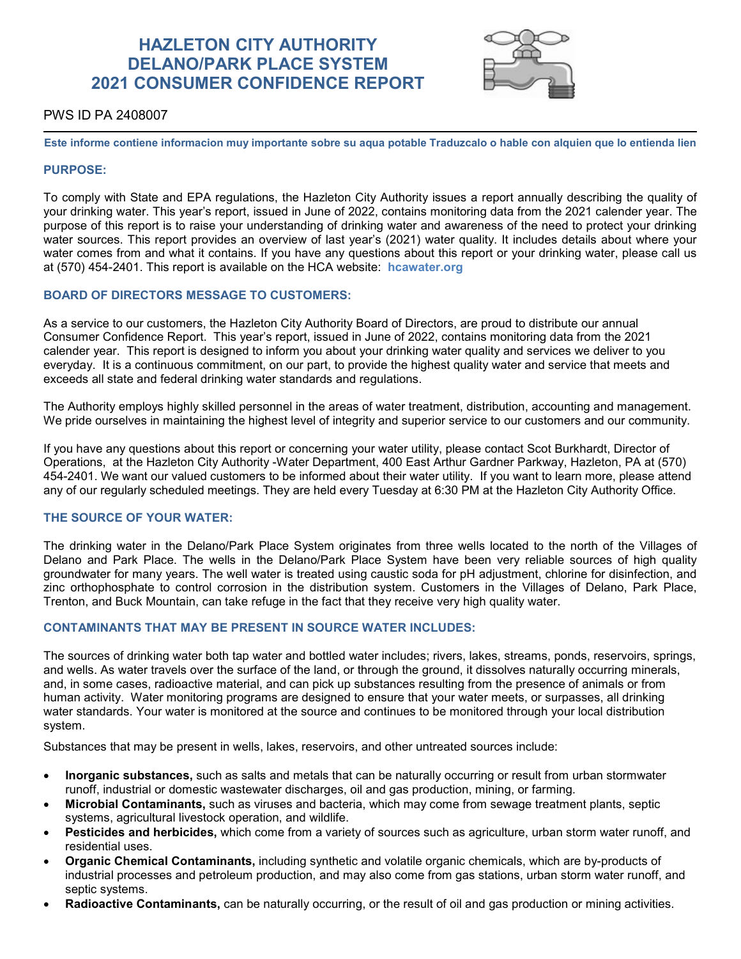# **HAZLETON CITY AUTHORITY DELANO/PARK PLACE SYSTEM 2021 CONSUMER CONFIDENCE REPORT**



# PWS ID PA 2408007

**Este informe contiene informacion muy importante sobre su aqua potable Traduzcalo o hable con alquien que lo entienda lien**

### **PURPOSE:**

To comply with State and EPA regulations, the Hazleton City Authority issues a report annually describing the quality of your drinking water. This year's report, issued in June of 2022, contains monitoring data from the 2021 calender year. The purpose of this report is to raise your understanding of drinking water and awareness of the need to protect your drinking water sources. This report provides an overview of last year's (2021) water quality. It includes details about where your water comes from and what it contains. If you have any questions about this report or your drinking water, please call us at (570) 454-2401. This report is available on the HCA website: **hcawater.org**

## **BOARD OF DIRECTORS MESSAGE TO CUSTOMERS:**

As a service to our customers, the Hazleton City Authority Board of Directors, are proud to distribute our annual Consumer Confidence Report. This year's report, issued in June of 2022, contains monitoring data from the 2021 calender year. This report is designed to inform you about your drinking water quality and services we deliver to you everyday. It is a continuous commitment, on our part, to provide the highest quality water and service that meets and exceeds all state and federal drinking water standards and regulations.

The Authority employs highly skilled personnel in the areas of water treatment, distribution, accounting and management. We pride ourselves in maintaining the highest level of integrity and superior service to our customers and our community.

If you have any questions about this report or concerning your water utility, please contact Scot Burkhardt, Director of Operations, at the Hazleton City Authority -Water Department, 400 East Arthur Gardner Parkway, Hazleton, PA at (570) 454-2401. We want our valued customers to be informed about their water utility. If you want to learn more, please attend any of our regularly scheduled meetings. They are held every Tuesday at 6:30 PM at the Hazleton City Authority Office.

# **THE SOURCE OF YOUR WATER:**

The drinking water in the Delano/Park Place System originates from three wells located to the north of the Villages of Delano and Park Place. The wells in the Delano/Park Place System have been very reliable sources of high quality groundwater for many years. The well water is treated using caustic soda for pH adjustment, chlorine for disinfection, and zinc orthophosphate to control corrosion in the distribution system. Customers in the Villages of Delano, Park Place, Trenton, and Buck Mountain, can take refuge in the fact that they receive very high quality water.

# **CONTAMINANTS THAT MAY BE PRESENT IN SOURCE WATER INCLUDES:**

The sources of drinking water both tap water and bottled water includes; rivers, lakes, streams, ponds, reservoirs, springs, and wells. As water travels over the surface of the land, or through the ground, it dissolves naturally occurring minerals, and, in some cases, radioactive material, and can pick up substances resulting from the presence of animals or from human activity. Water monitoring programs are designed to ensure that your water meets, or surpasses, all drinking water standards. Your water is monitored at the source and continues to be monitored through your local distribution system.

Substances that may be present in wells, lakes, reservoirs, and other untreated sources include:

- **Inorganic substances,** such as salts and metals that can be naturally occurring or result from urban stormwater runoff, industrial or domestic wastewater discharges, oil and gas production, mining, or farming.
- **Microbial Contaminants,** such as viruses and bacteria, which may come from sewage treatment plants, septic systems, agricultural livestock operation, and wildlife.
- **Pesticides and herbicides,** which come from a variety of sources such as agriculture, urban storm water runoff, and residential uses.
- **Organic Chemical Contaminants,** including synthetic and volatile organic chemicals, which are by-products of industrial processes and petroleum production, and may also come from gas stations, urban storm water runoff, and septic systems.
- **Radioactive Contaminants,** can be naturally occurring, or the result of oil and gas production or mining activities.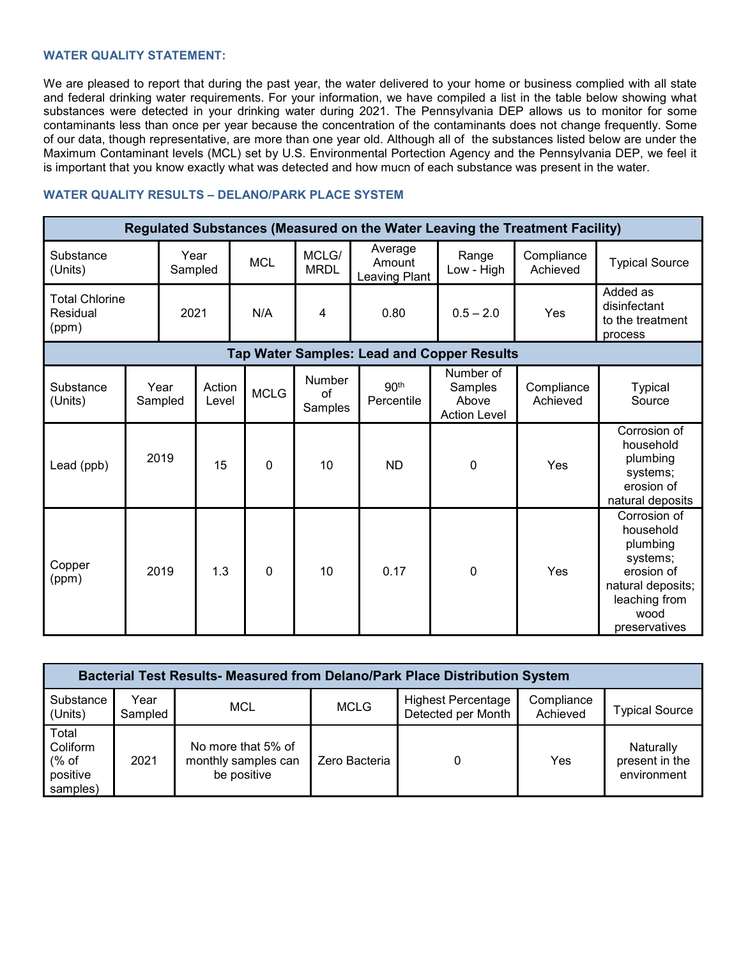# **WATER QUALITY STATEMENT:**

We are pleased to report that during the past year, the water delivered to your home or business complied with all state and federal drinking water requirements. For your information, we have compiled a list in the table below showing what substances were detected in your drinking water during 2021. The Pennsylvania DEP allows us to monitor for some contaminants less than once per year because the concentration of the contaminants does not change frequently. Some of our data, though representative, are more than one year old. Although all of the substances listed below are under the Maximum Contaminant levels (MCL) set by U.S. Environmental Portection Agency and the Pennsylvania DEP, we feel it is important that you know exactly what was detected and how mucn of each substance was present in the water.

## **WATER QUALITY RESULTS – DELANO/PARK PLACE SYSTEM**

| Regulated Substances (Measured on the Water Leaving the Treatment Facility) |                 |                 |                 |             |                                |                                    |                                                      |                        |                                                                                                                                |
|-----------------------------------------------------------------------------|-----------------|-----------------|-----------------|-------------|--------------------------------|------------------------------------|------------------------------------------------------|------------------------|--------------------------------------------------------------------------------------------------------------------------------|
| Substance<br>(Units)                                                        |                 | Year<br>Sampled |                 | <b>MCL</b>  | MCLG/<br><b>MRDL</b>           | Average<br>Amount<br>Leaving Plant | Range<br>Low - High                                  | Compliance<br>Achieved | <b>Typical Source</b>                                                                                                          |
| <b>Total Chlorine</b><br>Residual<br>(ppm)                                  |                 | 2021            |                 | N/A         | 4                              | 0.80                               | $0.5 - 2.0$                                          | Yes                    | Added as<br>disinfectant<br>to the treatment<br>process                                                                        |
| <b>Tap Water Samples: Lead and Copper Results</b>                           |                 |                 |                 |             |                                |                                    |                                                      |                        |                                                                                                                                |
| Substance<br>(Units)                                                        | Year<br>Sampled |                 | Action<br>Level | <b>MCLG</b> | <b>Number</b><br>of<br>Samples | 90 <sup>th</sup><br>Percentile     | Number of<br>Samples<br>Above<br><b>Action Level</b> | Compliance<br>Achieved | <b>Typical</b><br>Source                                                                                                       |
| 2019<br>Lead (ppb)                                                          |                 |                 | 15              | 0           | 10                             | <b>ND</b>                          | 0                                                    | Yes                    | Corrosion of<br>household<br>plumbing<br>systems;<br>erosion of<br>natural deposits                                            |
| Copper<br>(ppm)                                                             |                 | 2019            | 1.3             | $\mathbf 0$ | 10                             | 0.17                               | 0                                                    | Yes                    | Corrosion of<br>household<br>plumbing<br>systems;<br>erosion of<br>natural deposits;<br>leaching from<br>wood<br>preservatives |

| <b>Bacterial Test Results- Measured from Delano/Park Place Distribution System</b> |                 |                                                          |               |                                                 |                        |                                            |  |  |  |
|------------------------------------------------------------------------------------|-----------------|----------------------------------------------------------|---------------|-------------------------------------------------|------------------------|--------------------------------------------|--|--|--|
| Substance<br>(Units)                                                               | Year<br>Sampled | MCL                                                      | <b>MCLG</b>   | <b>Highest Percentage</b><br>Detected per Month | Compliance<br>Achieved | <b>Typical Source</b>                      |  |  |  |
| Total<br>Coliform<br>% of<br>positive<br>samples)                                  | 2021            | No more that 5% of<br>monthly samples can<br>be positive | Zero Bacteria |                                                 | Yes                    | Naturally<br>present in the<br>environment |  |  |  |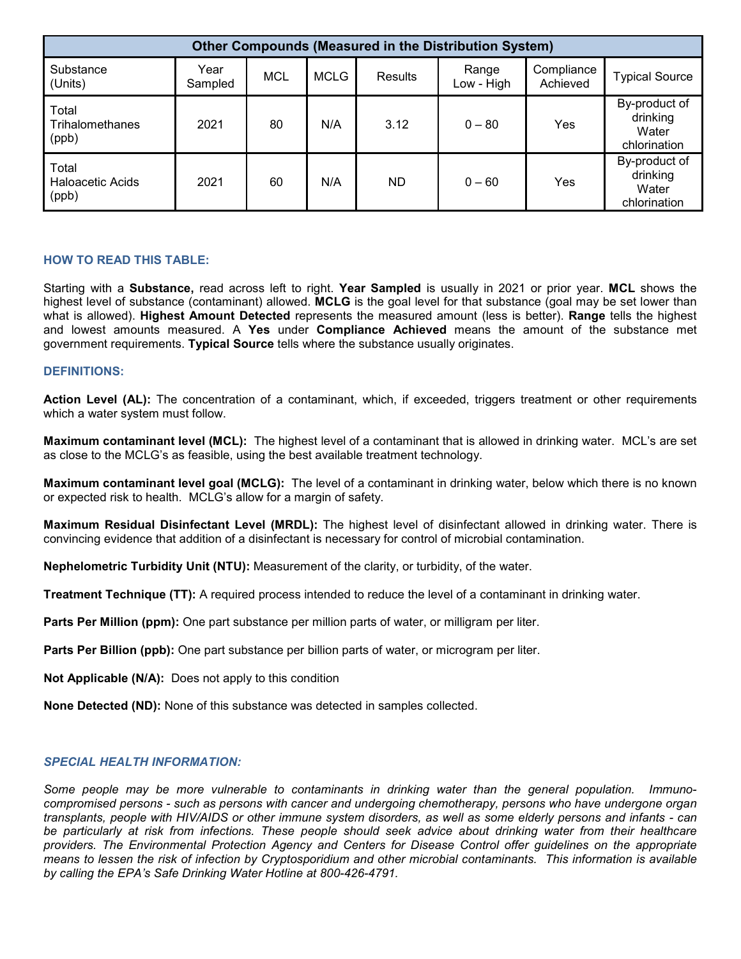| <b>Other Compounds (Measured in the Distribution System)</b> |                 |     |             |                |                     |                        |                                                    |
|--------------------------------------------------------------|-----------------|-----|-------------|----------------|---------------------|------------------------|----------------------------------------------------|
| Substance<br>(Units)                                         | Year<br>Sampled | MCL | <b>MCLG</b> | <b>Results</b> | Range<br>Low - High | Compliance<br>Achieved | <b>Typical Source</b>                              |
| Total<br>Trihalomethanes<br>(ppb)                            | 2021            | 80  | N/A         | 3.12           | $0 - 80$            | Yes                    | By-product of<br>drinking<br>Water<br>chlorination |
| Total<br><b>Haloacetic Acids</b><br>(ppb)                    | 2021            | 60  | N/A         | ND             | $0 - 60$            | Yes                    | By-product of<br>drinking<br>Water<br>chlorination |

# **HOW TO READ THIS TABLE:**

Starting with a **Substance,** read across left to right. **Year Sampled** is usually in 2021 or prior year. **MCL** shows the highest level of substance (contaminant) allowed. **MCLG** is the goal level for that substance (goal may be set lower than what is allowed). **Highest Amount Detected** represents the measured amount (less is better). **Range** tells the highest and lowest amounts measured. A **Yes** under **Compliance Achieved** means the amount of the substance met government requirements. **Typical Source** tells where the substance usually originates.

### **DEFINITIONS:**

**Action Level (AL):** The concentration of a contaminant, which, if exceeded, triggers treatment or other requirements which a water system must follow.

**Maximum contaminant level (MCL):** The highest level of a contaminant that is allowed in drinking water. MCL's are set as close to the MCLG's as feasible, using the best available treatment technology.

**Maximum contaminant level goal (MCLG):** The level of a contaminant in drinking water, below which there is no known or expected risk to health. MCLG's allow for a margin of safety.

**Maximum Residual Disinfectant Level (MRDL):** The highest level of disinfectant allowed in drinking water. There is convincing evidence that addition of a disinfectant is necessary for control of microbial contamination.

**Nephelometric Turbidity Unit (NTU):** Measurement of the clarity, or turbidity, of the water.

**Treatment Technique (TT):** A required process intended to reduce the level of a contaminant in drinking water.

**Parts Per Million (ppm):** One part substance per million parts of water, or milligram per liter.

**Parts Per Billion (ppb):** One part substance per billion parts of water, or microgram per liter.

**Not Applicable (N/A):** Does not apply to this condition

**None Detected (ND):** None of this substance was detected in samples collected.

#### *SPECIAL HEALTH INFORMATION:*

*Some people may be more vulnerable to contaminants in drinking water than the general population. Immunocompromised persons - such as persons with cancer and undergoing chemotherapy, persons who have undergone organ transplants, people with HIV/AIDS or other immune system disorders, as well as some elderly persons and infants - can*  be particularly at risk from infections. These people should seek advice about drinking water from their healthcare *providers. The Environmental Protection Agency and Centers for Disease Control offer guidelines on the appropriate means to lessen the risk of infection by Cryptosporidium and other microbial contaminants. This information is available by calling the EPA's Safe Drinking Water Hotline at 800-426-4791.*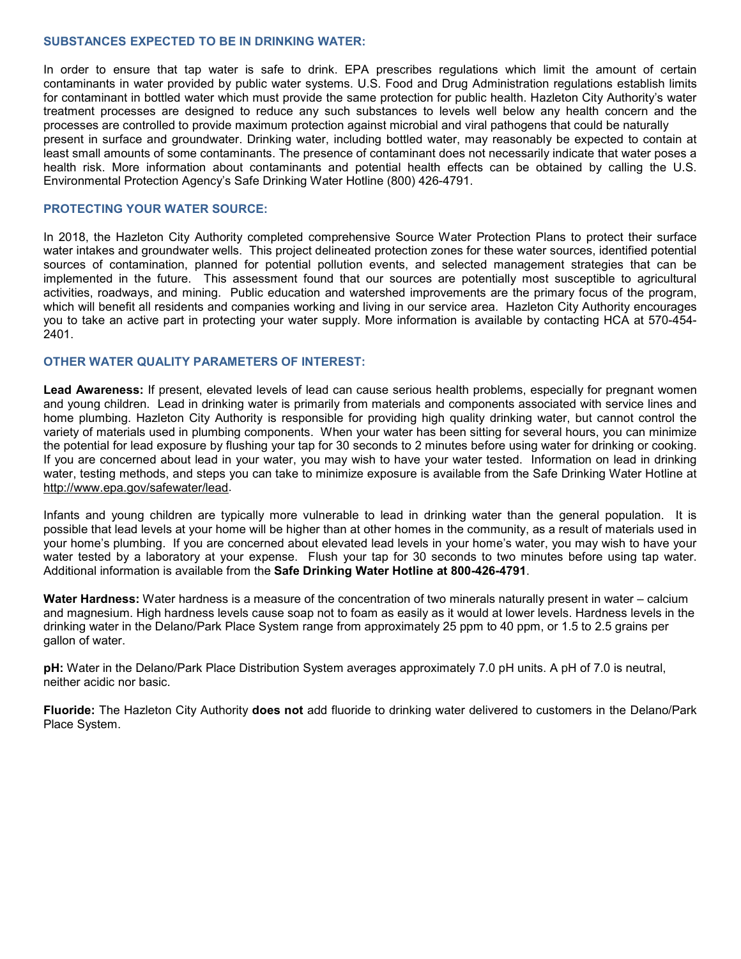#### **SUBSTANCES EXPECTED TO BE IN DRINKING WATER:**

In order to ensure that tap water is safe to drink. EPA prescribes regulations which limit the amount of certain contaminants in water provided by public water systems. U.S. Food and Drug Administration regulations establish limits for contaminant in bottled water which must provide the same protection for public health. Hazleton City Authority's water treatment processes are designed to reduce any such substances to levels well below any health concern and the processes are controlled to provide maximum protection against microbial and viral pathogens that could be naturally present in surface and groundwater. Drinking water, including bottled water, may reasonably be expected to contain at least small amounts of some contaminants. The presence of contaminant does not necessarily indicate that water poses a health risk. More information about contaminants and potential health effects can be obtained by calling the U.S. Environmental Protection Agency's Safe Drinking Water Hotline (800) 426-4791.

### **PROTECTING YOUR WATER SOURCE:**

In 2018, the Hazleton City Authority completed comprehensive Source Water Protection Plans to protect their surface water intakes and groundwater wells. This project delineated protection zones for these water sources, identified potential sources of contamination, planned for potential pollution events, and selected management strategies that can be implemented in the future. This assessment found that our sources are potentially most susceptible to agricultural activities, roadways, and mining. Public education and watershed improvements are the primary focus of the program, which will benefit all residents and companies working and living in our service area. Hazleton City Authority encourages you to take an active part in protecting your water supply. More information is available by contacting HCA at 570-454- 2401.

### **OTHER WATER QUALITY PARAMETERS OF INTEREST:**

**Lead Awareness:** If present, elevated levels of lead can cause serious health problems, especially for pregnant women and young children. Lead in drinking water is primarily from materials and components associated with service lines and home plumbing. Hazleton City Authority is responsible for providing high quality drinking water, but cannot control the variety of materials used in plumbing components. When your water has been sitting for several hours, you can minimize the potential for lead exposure by flushing your tap for 30 seconds to 2 minutes before using water for drinking or cooking. If you are concerned about lead in your water, you may wish to have your water tested. Information on lead in drinking water, testing methods, and steps you can take to minimize exposure is available from the Safe Drinking Water Hotline at [http://www.epa.gov/safewater/lead.](http://www.epa.gov/safewater/lead)

Infants and young children are typically more vulnerable to lead in drinking water than the general population. It is possible that lead levels at your home will be higher than at other homes in the community, as a result of materials used in your home's plumbing. If you are concerned about elevated lead levels in your home's water, you may wish to have your water tested by a laboratory at your expense. Flush your tap for 30 seconds to two minutes before using tap water. Additional information is available from the **Safe Drinking Water Hotline at 800-426-4791**.

**Water Hardness:** Water hardness is a measure of the concentration of two minerals naturally present in water – calcium and magnesium. High hardness levels cause soap not to foam as easily as it would at lower levels. Hardness levels in the drinking water in the Delano/Park Place System range from approximately 25 ppm to 40 ppm, or 1.5 to 2.5 grains per gallon of water.

**pH:** Water in the Delano/Park Place Distribution System averages approximately 7.0 pH units. A pH of 7.0 is neutral, neither acidic nor basic.

**Fluoride:** The Hazleton City Authority **does not** add fluoride to drinking water delivered to customers in the Delano/Park Place System.